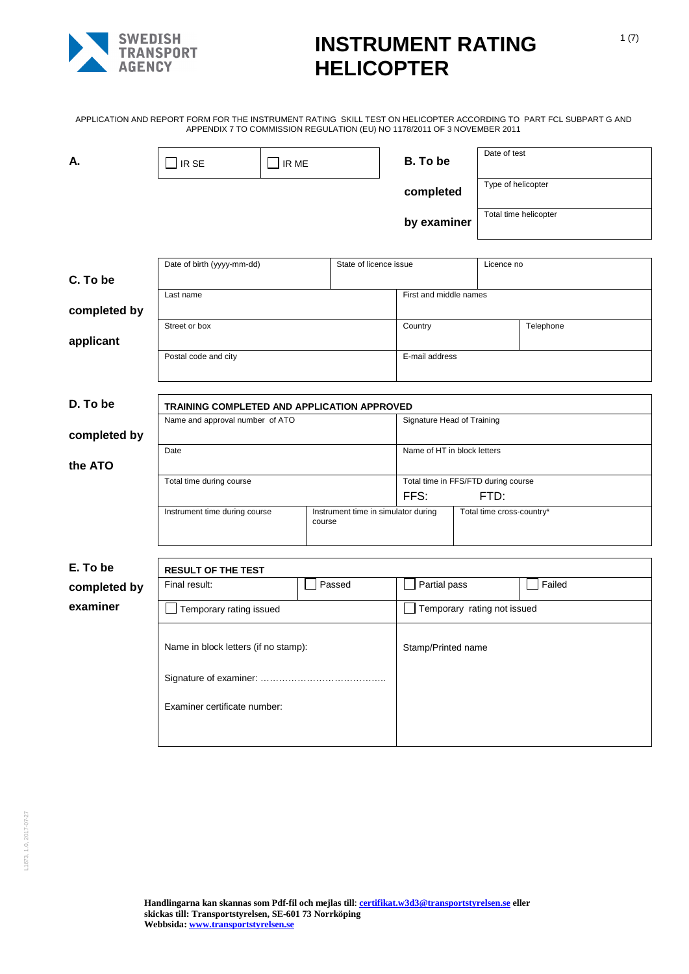

APPLICATION AND REPORT FORM FOR THE INSTRUMENT RATING SKILL TEST ON HELICOPTER ACCORDING TO PART FCL SUBPART G AND APPENDIX 7 TO COMMISSION REGULATION (EU) NO 1178/2011 OF 3 NOVEMBER 2011

|              |                                             |         |                                     | $\frac{1}{100}$ . Ending the commission in the code (TION (EQ) NO. The color of the verified |                           |           |  |
|--------------|---------------------------------------------|---------|-------------------------------------|----------------------------------------------------------------------------------------------|---------------------------|-----------|--|
| А.           | IR SE                                       | I IR ME |                                     | B. To be                                                                                     | Date of test              |           |  |
|              |                                             |         |                                     | completed                                                                                    | Type of helicopter        |           |  |
|              |                                             |         |                                     | by examiner                                                                                  | Total time helicopter     |           |  |
|              |                                             |         |                                     |                                                                                              |                           |           |  |
| C. To be     | Date of birth (yyyy-mm-dd)                  |         | State of licence issue              |                                                                                              | Licence no                |           |  |
| completed by | Last name                                   |         |                                     | First and middle names                                                                       |                           |           |  |
| applicant    | Street or box                               |         |                                     | Country                                                                                      |                           | Telephone |  |
|              | Postal code and city                        |         |                                     | E-mail address                                                                               |                           |           |  |
|              |                                             |         |                                     |                                                                                              |                           |           |  |
| D. To be     | TRAINING COMPLETED AND APPLICATION APPROVED |         |                                     |                                                                                              |                           |           |  |
| completed by | Name and approval number of ATO             |         |                                     | Signature Head of Training                                                                   |                           |           |  |
| the ATO      | Date                                        |         |                                     | Name of HT in block letters                                                                  |                           |           |  |
|              | Total time during course                    |         |                                     | Total time in FFS/FTD during course                                                          |                           |           |  |
|              |                                             |         |                                     | FFS:                                                                                         | FTD:                      |           |  |
|              | Instrument time during course               | course  | Instrument time in simulator during |                                                                                              | Total time cross-country* |           |  |
|              |                                             |         |                                     |                                                                                              |                           |           |  |
| E. To be     | <b>RESULT OF THE TEST</b>                   |         |                                     |                                                                                              |                           |           |  |
| completed by | Final result:                               |         | Passed                              | Partial pass                                                                                 |                           | Failed    |  |
| examiner     | Temporary rating issued                     |         |                                     | Temporary rating not issued                                                                  |                           |           |  |
|              | Name in block letters (if no stamp):        |         |                                     | Stamp/Printed name                                                                           |                           |           |  |
|              |                                             |         |                                     |                                                                                              |                           |           |  |
|              | Examiner certificate number:                |         |                                     |                                                                                              |                           |           |  |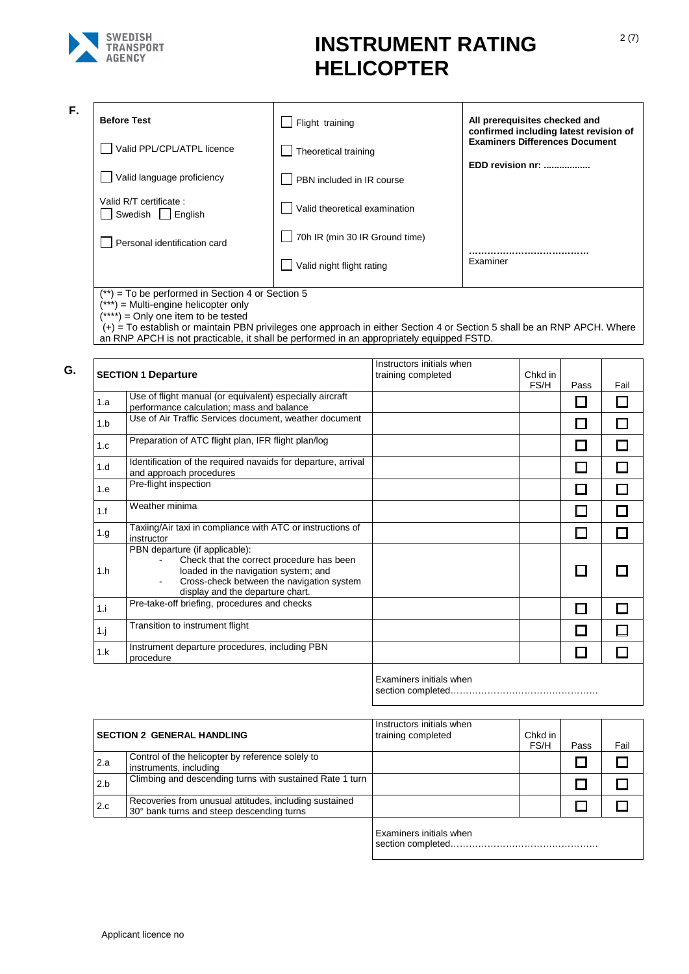

**F.**

| <b>Before Test</b>                          | Flight training                       | All prerequisites checked and<br>confirmed including latest revision of |
|---------------------------------------------|---------------------------------------|-------------------------------------------------------------------------|
| Valid PPL/CPL/ATPL licence                  | Theoretical training                  | <b>Examiners Differences Document</b>                                   |
| Valid language proficiency                  | PBN included in IR course             | EDD revision nr:                                                        |
| Valid R/T certificate:<br>Swedish   English | Valid theoretical examination         |                                                                         |
| Personal identification card                | $\Box$ 70h IR (min 30 IR Ground time) |                                                                         |
|                                             | Valid night flight rating             | Examiner                                                                |
| $1 + 1$                                     |                                       |                                                                         |

(\*\*) = To be performed in Section 4 or Section 5

(\*\*\*) = Multi-engine helicopter only

(\*\*\*\*) = Only one item to be tested

(+) = To establish or maintain PBN privileges one approach in either Section 4 or Section 5 shall be an RNP APCH. Where an RNP APCH is not practicable, it shall be performed in an appropriately equipped FSTD.

|      | <b>SECTION 1 Departure</b>                                                                                                                                                                           | Instructors initials when<br>training completed | Chkd in |      |      |
|------|------------------------------------------------------------------------------------------------------------------------------------------------------------------------------------------------------|-------------------------------------------------|---------|------|------|
|      | Use of flight manual (or equivalent) especially aircraft                                                                                                                                             |                                                 | FS/H    | Pass | Fail |
| 1.a  | performance calculation; mass and balance                                                                                                                                                            |                                                 |         |      |      |
| 1.b  | Use of Air Traffic Services document, weather document                                                                                                                                               |                                                 |         |      |      |
| 1.c  | Preparation of ATC flight plan, IFR flight plan/log                                                                                                                                                  |                                                 |         |      |      |
| 1.d  | Identification of the required navaids for departure, arrival<br>and approach procedures                                                                                                             |                                                 |         |      |      |
| 1.e  | Pre-flight inspection                                                                                                                                                                                |                                                 |         |      |      |
| 1.f  | Weather minima                                                                                                                                                                                       |                                                 |         |      |      |
| 1.g. | Taxiing/Air taxi in compliance with ATC or instructions of<br>instructor                                                                                                                             |                                                 |         |      |      |
| 1.h  | PBN departure (if applicable):<br>Check that the correct procedure has been<br>loaded in the navigation system; and<br>Cross-check between the navigation system<br>display and the departure chart. |                                                 |         |      |      |
| 1.i  | Pre-take-off briefing, procedures and checks                                                                                                                                                         |                                                 |         |      |      |
| 1.1  | Transition to instrument flight                                                                                                                                                                      |                                                 |         |      |      |
| 1.k  | Instrument departure procedures, including PBN<br>procedure                                                                                                                                          |                                                 |         |      |      |

aminers initials when section completed…………………………………………

|     | <b>SECTION 2 GENERAL HANDLING</b>                                                                   | Instructors initials when<br>training completed | Chkd in<br>FS/H | Pass | Fail |
|-----|-----------------------------------------------------------------------------------------------------|-------------------------------------------------|-----------------|------|------|
| 2.a | Control of the helicopter by reference solely to<br>instruments, including                          |                                                 |                 |      |      |
| 2.b | Climbing and descending turns with sustained Rate 1 turn                                            |                                                 |                 |      |      |
| 2.c | Recoveries from unusual attitudes, including sustained<br>30° bank turns and steep descending turns |                                                 |                 |      |      |
|     |                                                                                                     | Examiners initials when                         |                 |      |      |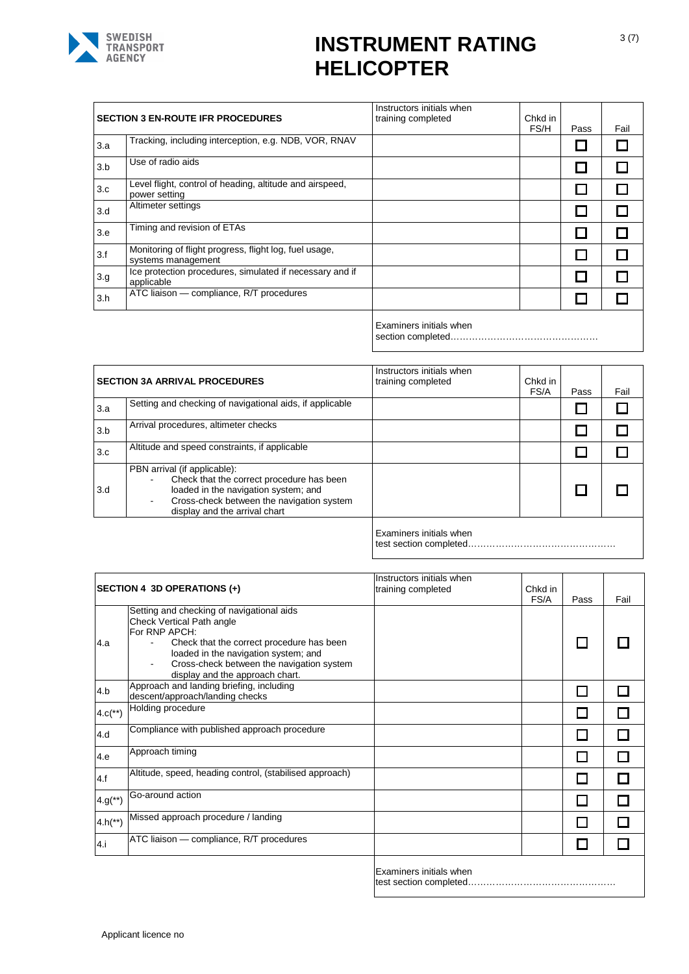

|     | <b>SECTION 3 EN-ROUTE IFR PROCEDURES</b>                                     | Instructors initials when<br>training completed | Chkd in<br>FS/H | Pass | Fail |
|-----|------------------------------------------------------------------------------|-------------------------------------------------|-----------------|------|------|
| 3.a | Tracking, including interception, e.g. NDB, VOR, RNAV                        |                                                 |                 |      |      |
| 3.b | Use of radio aids                                                            |                                                 |                 |      |      |
| 3.c | Level flight, control of heading, altitude and airspeed,<br>power setting    |                                                 |                 |      |      |
| 3.d | Altimeter settings                                                           |                                                 |                 |      |      |
| 3.e | Timing and revision of ETAs                                                  |                                                 |                 | ы    |      |
| 3.f | Monitoring of flight progress, flight log, fuel usage,<br>systems management |                                                 |                 |      |      |
| 3.g | Ice protection procedures, simulated if necessary and if<br>applicable       |                                                 |                 |      |      |
| 3.h | ATC liaison - compliance, R/T procedures                                     |                                                 |                 |      |      |
|     |                                                                              | Examiners initials when                         |                 |      |      |

section completed…………………………………………

|     | <b>SECTION 3A ARRIVAL PROCEDURES</b>                                                                                                                                                            | Instructors initials when<br>training completed | Chkd in<br>FS/A | Pass | Fail |
|-----|-------------------------------------------------------------------------------------------------------------------------------------------------------------------------------------------------|-------------------------------------------------|-----------------|------|------|
| 3.a | Setting and checking of navigational aids, if applicable                                                                                                                                        |                                                 |                 |      |      |
| 3.b | Arrival procedures, altimeter checks                                                                                                                                                            |                                                 |                 |      |      |
| 3.c | Altitude and speed constraints, if applicable                                                                                                                                                   |                                                 |                 |      |      |
| 3.d | PBN arrival (if applicable):<br>Check that the correct procedure has been<br>loaded in the navigation system; and<br>Cross-check between the navigation system<br>display and the arrival chart |                                                 |                 |      |      |
|     |                                                                                                                                                                                                 |                                                 |                 |      |      |

Examiners initials when

test section completed…………………………………………

|                       | SECTION 4 3D OPERATIONS (+)                                                                                                                                                                                                                                  | Instructors initials when<br>training completed | Chkd in<br>FS/A | Pass | Fail |
|-----------------------|--------------------------------------------------------------------------------------------------------------------------------------------------------------------------------------------------------------------------------------------------------------|-------------------------------------------------|-----------------|------|------|
| 4.a                   | Setting and checking of navigational aids<br>Check Vertical Path angle<br>For RNP APCH:<br>Check that the correct procedure has been<br>loaded in the navigation system; and<br>Cross-check between the navigation system<br>display and the approach chart. |                                                 |                 |      |      |
| 4.b                   | Approach and landing briefing, including<br>descent/approach/landing checks                                                                                                                                                                                  |                                                 |                 |      |      |
| $4.c(**)$             | Holding procedure                                                                                                                                                                                                                                            |                                                 |                 |      |      |
| 4.d                   | Compliance with published approach procedure                                                                                                                                                                                                                 |                                                 |                 |      |      |
| 4.e                   | Approach timing                                                                                                                                                                                                                                              |                                                 |                 |      |      |
| 4.f                   | Altitude, speed, heading control, (stabilised approach)                                                                                                                                                                                                      |                                                 |                 |      |      |
| $4.9$ <sup>**</sup> ) | Go-around action                                                                                                                                                                                                                                             |                                                 |                 |      |      |
| $4.h(*")$             | Missed approach procedure / landing                                                                                                                                                                                                                          |                                                 |                 |      |      |
| 4.i                   | ATC liaison - compliance, R/T procedures                                                                                                                                                                                                                     |                                                 |                 |      |      |
|                       |                                                                                                                                                                                                                                                              | Examiners initials when                         |                 |      |      |

test section completed…………………………………………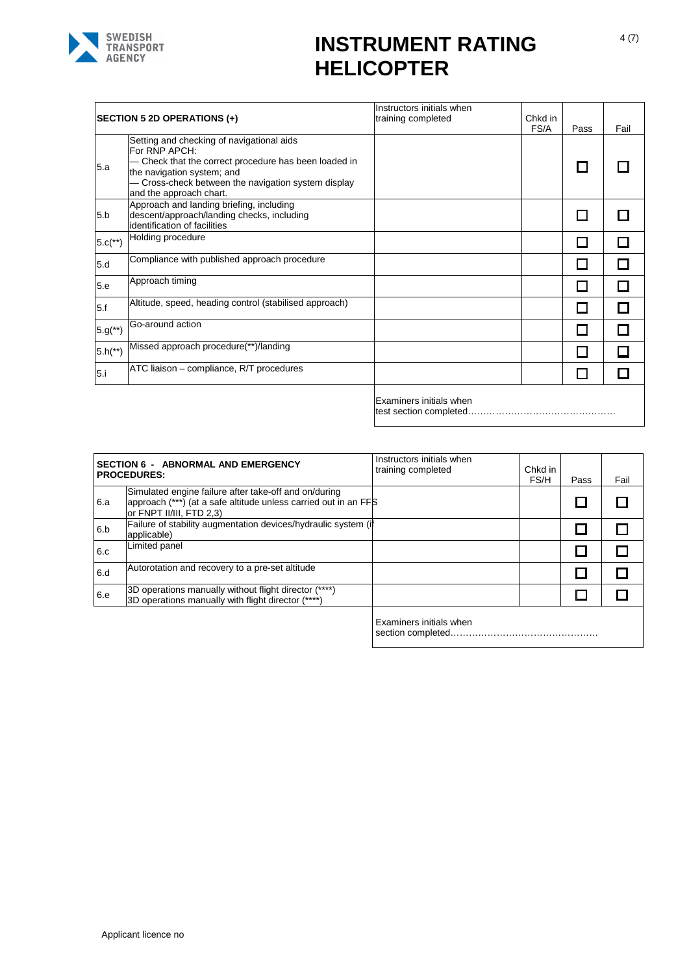

|                       | SECTION 5 2D OPERATIONS (+)                                                                                                                                                                                                     | Instructors initials when<br>training completed | Chkd in<br>FS/A | Pass | Fail |
|-----------------------|---------------------------------------------------------------------------------------------------------------------------------------------------------------------------------------------------------------------------------|-------------------------------------------------|-----------------|------|------|
| 5.a                   | Setting and checking of navigational aids<br>For RNP APCH:<br>Check that the correct procedure has been loaded in<br>the navigation system; and<br>Cross-check between the navigation system display<br>and the approach chart. |                                                 |                 |      |      |
| 5.b                   | Approach and landing briefing, including<br>descent/approach/landing checks, including<br>identification of facilities                                                                                                          |                                                 |                 |      |      |
| $5.c(**)$             | Holding procedure                                                                                                                                                                                                               |                                                 |                 |      |      |
| 5.d                   | Compliance with published approach procedure                                                                                                                                                                                    |                                                 |                 |      |      |
| 5.e                   | Approach timing                                                                                                                                                                                                                 |                                                 |                 |      |      |
| 5.f                   | Altitude, speed, heading control (stabilised approach)                                                                                                                                                                          |                                                 |                 |      |      |
| $5.9$ <sup>(**)</sup> | Go-around action                                                                                                                                                                                                                |                                                 |                 |      |      |
| $5.h(*")$             | Missed approach procedure(**)/landing                                                                                                                                                                                           |                                                 |                 |      |      |
| 5.i                   | ATC liaison – compliance, R/T procedures                                                                                                                                                                                        |                                                 |                 |      |      |
|                       |                                                                                                                                                                                                                                 | Experience the second that the later shades     |                 |      |      |

Examiners initials when test section completed…………………………………………

|     | <b>SECTION 6 - ABNORMAL AND EMERGENCY</b><br><b>PROCEDURES:</b>                                                                                      | Instructors initials when<br>training completed | Chkd in<br>FS/H | Pass | Fail |
|-----|------------------------------------------------------------------------------------------------------------------------------------------------------|-------------------------------------------------|-----------------|------|------|
| 6.a | Simulated engine failure after take-off and on/during<br>approach (***) (at a safe altitude unless carried out in an FFS<br>or FNPT II/III, FTD 2,3) |                                                 |                 |      |      |
| 6.b | Failure of stability augmentation devices/hydraulic system (if<br>applicable)                                                                        |                                                 |                 |      |      |
| 6.c | Limited panel                                                                                                                                        |                                                 |                 |      |      |
| 6.d | Autorotation and recovery to a pre-set altitude                                                                                                      |                                                 |                 |      |      |
| 6.e | 3D operations manually without flight director (****)<br>3D operations manually with flight director (****)                                          |                                                 |                 |      |      |
|     |                                                                                                                                                      | Evaminare initiale whon                         |                 |      |      |

Examiners initials when section completed…………………………………………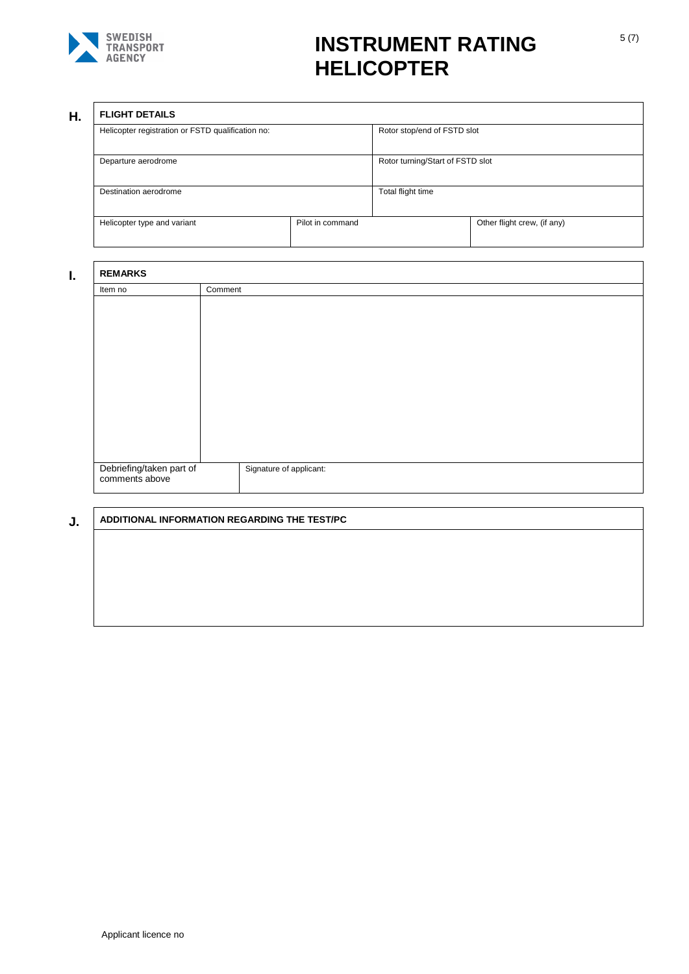

### **H. FLIGHT DETAILS**

| FLIUMI DE IAILJ                                   |  |                                  |                             |  |
|---------------------------------------------------|--|----------------------------------|-----------------------------|--|
| Helicopter registration or FSTD qualification no: |  | Rotor stop/end of FSTD slot      |                             |  |
| Departure aerodrome                               |  | Rotor turning/Start of FSTD slot |                             |  |
| Destination aerodrome                             |  | Total flight time                |                             |  |
| Pilot in command<br>Helicopter type and variant   |  |                                  | Other flight crew, (if any) |  |

| <b>REMARKS</b>           |                         |
|--------------------------|-------------------------|
| Item no                  | Comment                 |
|                          |                         |
|                          |                         |
|                          |                         |
|                          |                         |
|                          |                         |
|                          |                         |
|                          |                         |
|                          |                         |
|                          |                         |
|                          |                         |
|                          |                         |
|                          |                         |
| Debriefing/taken part of | Signature of applicant: |
| comments above           |                         |

### **J. ADDITIONAL INFORMATION REGARDING THE TEST/PC**

### Applicant licence no

1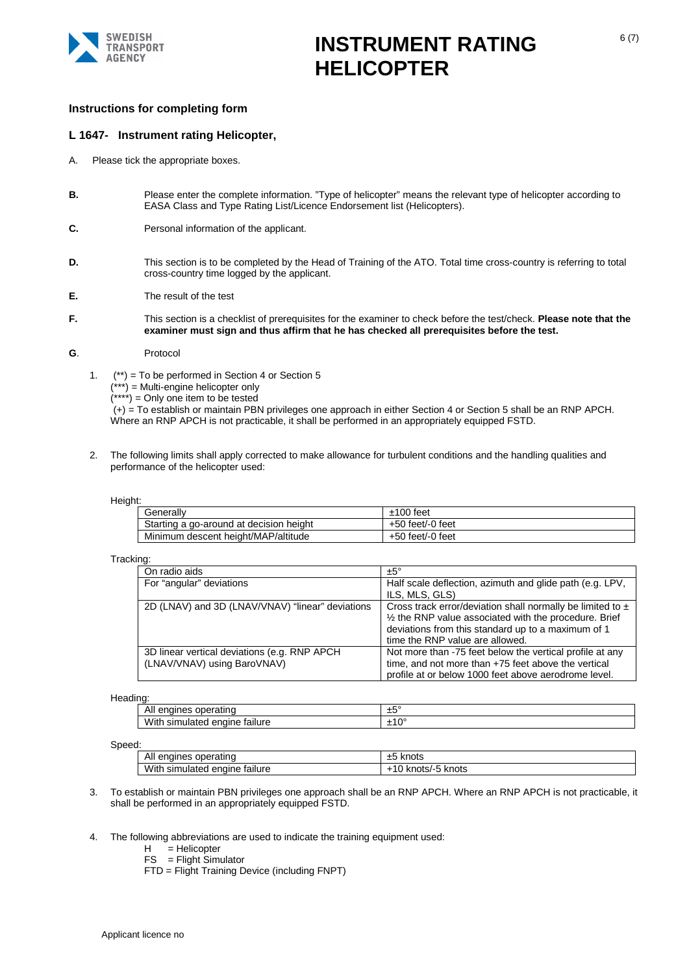

### **Instructions for completing form**

### **L 1647- Instrument rating Helicopter,**

- A. Please tick the appropriate boxes.
- **B.** Please enter the complete information. "Type of helicopter" means the relevant type of helicopter according to EASA Class and Type Rating List/Licence Endorsement list (Helicopters).
- **C.** Personal information of the applicant.
- **D.** This section is to be completed by the Head of Training of the ATO. Total time cross-country is referring to total cross-country time logged by the applicant.
- **E.** The result of the test
- **F.** This section is a checklist of prerequisites for the examiner to check before the test/check. **Please note that the examiner must sign and thus affirm that he has checked all prerequisites before the test.**

#### **G**. Protocol

1.  $(**)$  = To be performed in Section 4 or Section 5

 $(x***')$  = Multi-engine helicopter only

 $(****') =$  Only one item to be tested

(+) = To establish or maintain PBN privileges one approach in either Section 4 or Section 5 shall be an RNP APCH. Where an RNP APCH is not practicable, it shall be performed in an appropriately equipped FSTD.

2. The following limits shall apply corrected to make allowance for turbulent conditions and the handling qualities and performance of the helicopter used:

#### Height:

| Generallv                               | $±100$ feet      |
|-----------------------------------------|------------------|
| Starting a go-around at decision height | +50 feet/-0 feet |
| Minimum descent height/MAP/altitude     | +50 feet/-0 feet |

#### Tracking:

| On radio aids                                                                | $±5^\circ$                                                                                                                                                                                                        |
|------------------------------------------------------------------------------|-------------------------------------------------------------------------------------------------------------------------------------------------------------------------------------------------------------------|
| For "angular" deviations                                                     | Half scale deflection, azimuth and glide path (e.g. LPV,<br>ILS, MLS, GLS)                                                                                                                                        |
| 2D (LNAV) and 3D (LNAV/VNAV) "linear" deviations                             | Cross track error/deviation shall normally be limited to $\pm$<br>1/2 the RNP value associated with the procedure. Brief<br>deviations from this standard up to a maximum of 1<br>time the RNP value are allowed. |
| 3D linear vertical deviations (e.g. RNP APCH)<br>(LNAV/VNAV) using BaroVNAV) | Not more than -75 feet below the vertical profile at any<br>time, and not more than +75 feet above the vertical<br>profile at or below 1000 feet above aerodrome level.                                           |

#### Heading:

| n<br>.<br>sır<br>VV.<br>anne.<br>тn.<br>ialiure<br>11 I<br>.<br><b>-</b><br>ັ<br>ື |  |
|------------------------------------------------------------------------------------|--|

#### Speed:

| u.                                            |                              |  |
|-----------------------------------------------|------------------------------|--|
| All<br>operating<br>engines                   | knots<br>∸                   |  |
| <b>With</b><br>simulated<br>enaine<br>tailure | ⊺knots<br>-knots/<br>՝ Ա<br> |  |

- 3. To establish or maintain PBN privileges one approach shall be an RNP APCH. Where an RNP APCH is not practicable, i tshall be performed in an appropriately equipped FSTD.
- 4. The following abbreviations are used to indicate the training equipment used:

H = Helicopter

- FS = Flight Simulator
- FTD = Flight Training Device (including FNPT)